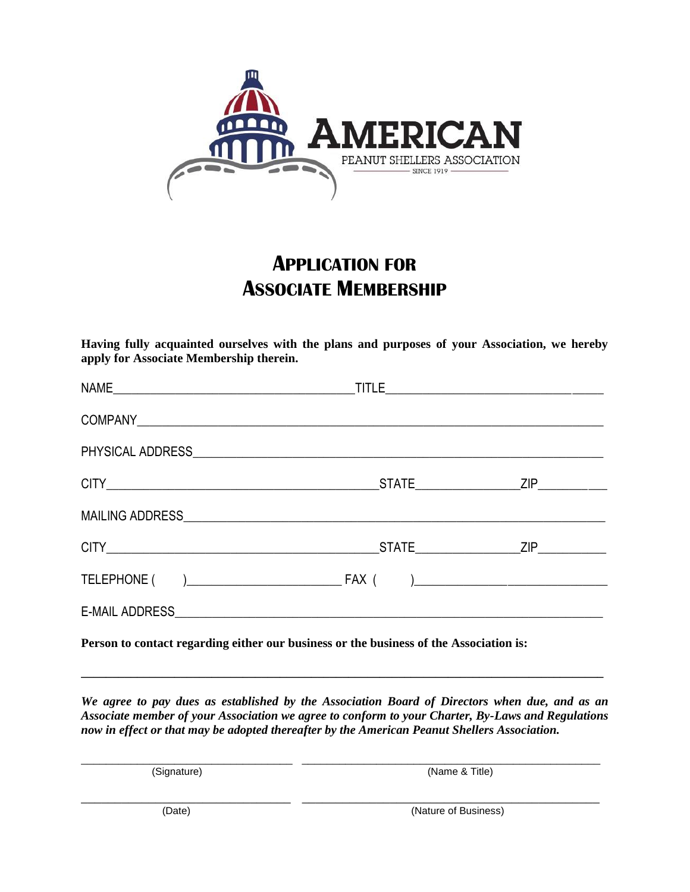

## **APPLICATION FOR ASSOCIATE MEMBERSHIP**

**Having fully acquainted ourselves with the plans and purposes of your Association, we hereby apply for Associate Membership therein.**

**Person to contact regarding either our business or the business of the Association is:**

*We agree to pay dues as established by the Association Board of Directors when due, and as an Associate member of your Association we agree to conform to your Charter, By-Laws and Regulations now in effect or that may be adopted thereafter by the American Peanut Shellers Association.*

\_\_\_\_\_\_\_\_\_\_\_\_\_\_\_\_\_\_\_\_\_\_\_\_\_\_\_\_\_\_\_ \_\_\_\_\_\_\_\_\_\_\_\_\_\_\_\_\_\_\_\_\_\_\_\_\_\_\_\_\_\_\_\_\_\_\_\_\_\_\_\_\_\_\_\_

**\_\_\_\_\_\_\_\_\_\_\_\_\_\_\_\_\_\_\_\_\_\_\_\_\_\_\_\_\_\_\_\_\_\_\_\_\_\_\_\_\_\_\_\_\_\_\_\_\_\_\_\_\_\_\_\_\_\_\_\_\_\_\_\_\_\_\_\_\_\_\_\_\_\_\_\_\_\_\_\_\_\_\_\_**

\_\_\_\_\_\_\_\_\_\_\_\_\_\_\_\_\_\_\_\_\_\_\_\_\_\_\_\_\_\_\_\_\_\_ \_\_\_\_\_\_\_\_\_\_\_\_\_\_\_\_\_\_\_\_\_\_\_\_\_\_\_\_\_\_\_\_\_\_\_\_\_\_\_\_\_\_\_\_\_\_\_\_ (Signature) (Name & Title)